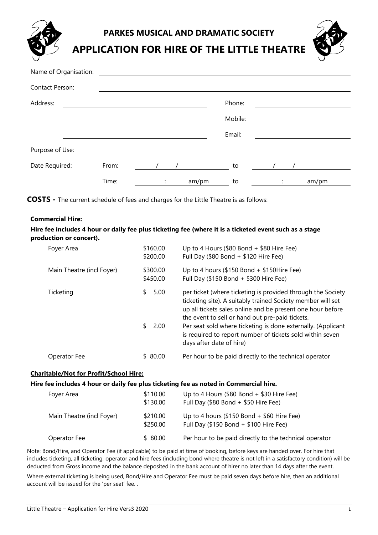**PARKES MUSICAL AND DRAMATIC SOCIETY**

**APPLICATION FOR HIRE OF THE LITTLE THEATRE**



| Name of Organisation: |       |                |       |         |   |       |
|-----------------------|-------|----------------|-------|---------|---|-------|
| Contact Person:       |       |                |       |         |   |       |
| Address:              |       |                |       | Phone:  |   |       |
|                       |       |                |       | Mobile: |   |       |
|                       |       |                |       | Email:  |   |       |
| Purpose of Use:       |       |                |       |         |   |       |
| Date Required:        | From: |                |       | to      |   |       |
|                       | Time: | $\ddot{\cdot}$ | am/pm | to      | ÷ | am/pm |

**COSTS -** The current schedule of fees and charges for the Little Theatre is as follows:

## **Commercial Hire:**

**Hire fee includes 4 hour or daily fee plus ticketing fee (where it is a ticketed event such as a stage production or concert).**

| Foyer Area                | \$160.00<br>\$200.00 | Up to 4 Hours (\$80 Bond $+$ \$80 Hire Fee)<br>Full Day (\$80 Bond + \$120 Hire Fee)                                                                                                                                                        |
|---------------------------|----------------------|---------------------------------------------------------------------------------------------------------------------------------------------------------------------------------------------------------------------------------------------|
| Main Theatre (incl Foyer) | \$300.00<br>\$450.00 | Up to 4 hours (\$150 Bond + \$150Hire Fee)<br>Full Day (\$150 Bond + \$300 Hire Fee)                                                                                                                                                        |
| Ticketing                 | \$<br>5.00           | per ticket (where ticketing is provided through the Society<br>ticketing site). A suitably trained Society member will set<br>up all tickets sales online and be present one hour before<br>the event to sell or hand out pre-paid tickets. |
|                           | \$<br>2.00           | Per seat sold where ticketing is done externally. (Applicant<br>is required to report number of tickets sold within seven<br>days after date of hire)                                                                                       |
| Operator Fee              | \$ 80.00             | Per hour to be paid directly to the technical operator                                                                                                                                                                                      |

## **Charitable/Not for Profit/School Hire:**

**Hire fee includes 4 hour or daily fee plus ticketing fee as noted in Commercial hire.**

| Foyer Area                | \$110.00<br>\$130.00 | Up to 4 Hours (\$80 Bond $+$ \$30 Hire Fee)<br>Full Day (\$80 Bond + \$50 Hire Fee)  |
|---------------------------|----------------------|--------------------------------------------------------------------------------------|
| Main Theatre (incl Foyer) | \$210.00<br>\$250.00 | Up to 4 hours (\$150 Bond + \$60 Hire Fee)<br>Full Day (\$150 Bond + \$100 Hire Fee) |
| Operator Fee              | \$80.00              | Per hour to be paid directly to the technical operator                               |

Note: Bond/Hire, and Operator Fee (if applicable) to be paid at time of booking, before keys are handed over. For hire that includes ticketing, all ticketing, operator and hire fees (including bond where theatre is not left in a satisfactory condition) will be deducted from Gross income and the balance deposited in the bank account of hirer no later than 14 days after the event.

Where external ticketing is being used, Bond/Hire and Operator Fee must be paid seven days before hire, then an additional account will be issued for the 'per seat' fee. .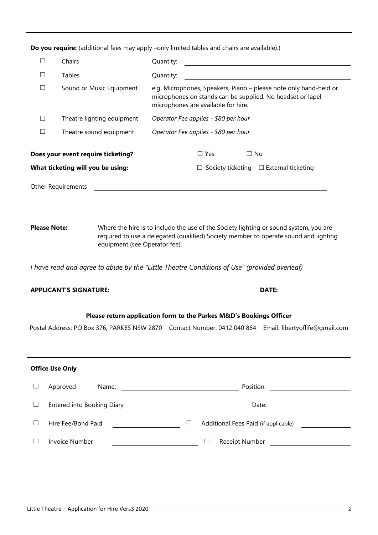| $\Box$<br>Chairs<br>Tables<br>□<br>Quantity:<br>e.g. Microphones, Speakers, Piano - please note only hand-held or<br>$\Box$<br>Sound or Music Equipment<br>microphones on stands can be supplied. No headset or lapel<br>microphones are available for hire.<br>Operator Fee applies - \$80 per hour<br>$\Box$<br>Theatre lighting equipment<br>$\Box$<br>Theatre sound equipment<br>Operator Fee applies - \$80 per hour<br>Does your event require ticketing?<br>$\Box$ Yes<br>$\Box$ No<br>What ticketing will you be using:<br>$\Box$ Society ticketing $\Box$ External ticketing<br><b>Other Requirements</b><br><u> 1989 - Johann Stein, mars an deutscher Stein († 1989)</u><br><b>Please Note:</b><br>Where the hire is to include the use of the Society lighting or sound system, you are<br>required to use a delegated (qualified) Society member to operate sound and lighting<br>equipment (see Operator fee).<br>I have read and agree to abide by the "Little Theatre Conditions of Use" (provided overleaf)<br><b>APPLICANT'S SIGNATURE:</b><br><b>DATE:</b><br>Please return application form to the Parkes M&D's Bookings Officer<br>Postal Address: PO Box 376, PARKES NSW 2870 Contact Number: 0412 040 864 Email: libertyoflife@gmail.com<br><b>Office Use Only</b><br>Approved<br>Name:<br>⊔<br>Entered into Booking Diary<br>$\Box$<br>Hire Fee/Bond Paid<br>$\Box$<br>$\Box$<br><b>Invoice Number</b><br>$\Box$<br>ப |  |  |  | <b>Do you require.</b> (additional rees may apply –only immeditables and chairs are available).) |  |  |  |  |
|-----------------------------------------------------------------------------------------------------------------------------------------------------------------------------------------------------------------------------------------------------------------------------------------------------------------------------------------------------------------------------------------------------------------------------------------------------------------------------------------------------------------------------------------------------------------------------------------------------------------------------------------------------------------------------------------------------------------------------------------------------------------------------------------------------------------------------------------------------------------------------------------------------------------------------------------------------------------------------------------------------------------------------------------------------------------------------------------------------------------------------------------------------------------------------------------------------------------------------------------------------------------------------------------------------------------------------------------------------------------------------------------------------------------------------------------------|--|--|--|--------------------------------------------------------------------------------------------------|--|--|--|--|
|                                                                                                                                                                                                                                                                                                                                                                                                                                                                                                                                                                                                                                                                                                                                                                                                                                                                                                                                                                                                                                                                                                                                                                                                                                                                                                                                                                                                                                               |  |  |  |                                                                                                  |  |  |  |  |
|                                                                                                                                                                                                                                                                                                                                                                                                                                                                                                                                                                                                                                                                                                                                                                                                                                                                                                                                                                                                                                                                                                                                                                                                                                                                                                                                                                                                                                               |  |  |  |                                                                                                  |  |  |  |  |
|                                                                                                                                                                                                                                                                                                                                                                                                                                                                                                                                                                                                                                                                                                                                                                                                                                                                                                                                                                                                                                                                                                                                                                                                                                                                                                                                                                                                                                               |  |  |  |                                                                                                  |  |  |  |  |
|                                                                                                                                                                                                                                                                                                                                                                                                                                                                                                                                                                                                                                                                                                                                                                                                                                                                                                                                                                                                                                                                                                                                                                                                                                                                                                                                                                                                                                               |  |  |  |                                                                                                  |  |  |  |  |
|                                                                                                                                                                                                                                                                                                                                                                                                                                                                                                                                                                                                                                                                                                                                                                                                                                                                                                                                                                                                                                                                                                                                                                                                                                                                                                                                                                                                                                               |  |  |  |                                                                                                  |  |  |  |  |
|                                                                                                                                                                                                                                                                                                                                                                                                                                                                                                                                                                                                                                                                                                                                                                                                                                                                                                                                                                                                                                                                                                                                                                                                                                                                                                                                                                                                                                               |  |  |  |                                                                                                  |  |  |  |  |
|                                                                                                                                                                                                                                                                                                                                                                                                                                                                                                                                                                                                                                                                                                                                                                                                                                                                                                                                                                                                                                                                                                                                                                                                                                                                                                                                                                                                                                               |  |  |  |                                                                                                  |  |  |  |  |
|                                                                                                                                                                                                                                                                                                                                                                                                                                                                                                                                                                                                                                                                                                                                                                                                                                                                                                                                                                                                                                                                                                                                                                                                                                                                                                                                                                                                                                               |  |  |  |                                                                                                  |  |  |  |  |
|                                                                                                                                                                                                                                                                                                                                                                                                                                                                                                                                                                                                                                                                                                                                                                                                                                                                                                                                                                                                                                                                                                                                                                                                                                                                                                                                                                                                                                               |  |  |  |                                                                                                  |  |  |  |  |
|                                                                                                                                                                                                                                                                                                                                                                                                                                                                                                                                                                                                                                                                                                                                                                                                                                                                                                                                                                                                                                                                                                                                                                                                                                                                                                                                                                                                                                               |  |  |  |                                                                                                  |  |  |  |  |
|                                                                                                                                                                                                                                                                                                                                                                                                                                                                                                                                                                                                                                                                                                                                                                                                                                                                                                                                                                                                                                                                                                                                                                                                                                                                                                                                                                                                                                               |  |  |  |                                                                                                  |  |  |  |  |
|                                                                                                                                                                                                                                                                                                                                                                                                                                                                                                                                                                                                                                                                                                                                                                                                                                                                                                                                                                                                                                                                                                                                                                                                                                                                                                                                                                                                                                               |  |  |  |                                                                                                  |  |  |  |  |
|                                                                                                                                                                                                                                                                                                                                                                                                                                                                                                                                                                                                                                                                                                                                                                                                                                                                                                                                                                                                                                                                                                                                                                                                                                                                                                                                                                                                                                               |  |  |  |                                                                                                  |  |  |  |  |
|                                                                                                                                                                                                                                                                                                                                                                                                                                                                                                                                                                                                                                                                                                                                                                                                                                                                                                                                                                                                                                                                                                                                                                                                                                                                                                                                                                                                                                               |  |  |  |                                                                                                  |  |  |  |  |
|                                                                                                                                                                                                                                                                                                                                                                                                                                                                                                                                                                                                                                                                                                                                                                                                                                                                                                                                                                                                                                                                                                                                                                                                                                                                                                                                                                                                                                               |  |  |  |                                                                                                  |  |  |  |  |
|                                                                                                                                                                                                                                                                                                                                                                                                                                                                                                                                                                                                                                                                                                                                                                                                                                                                                                                                                                                                                                                                                                                                                                                                                                                                                                                                                                                                                                               |  |  |  |                                                                                                  |  |  |  |  |
|                                                                                                                                                                                                                                                                                                                                                                                                                                                                                                                                                                                                                                                                                                                                                                                                                                                                                                                                                                                                                                                                                                                                                                                                                                                                                                                                                                                                                                               |  |  |  |                                                                                                  |  |  |  |  |
|                                                                                                                                                                                                                                                                                                                                                                                                                                                                                                                                                                                                                                                                                                                                                                                                                                                                                                                                                                                                                                                                                                                                                                                                                                                                                                                                                                                                                                               |  |  |  |                                                                                                  |  |  |  |  |

**Do you require:** (additional fees may apply –only limited tables and chairs are available).)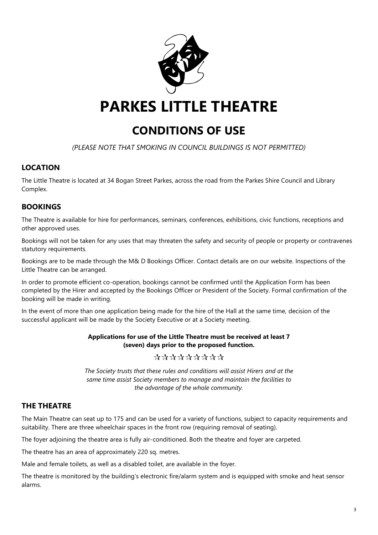

# **CONDITIONS OF USE**

*(PLEASE NOTE THAT SMOKING IN COUNCIL BUILDINGS IS NOT PERMITTED)*

# **LOCATION**

The Little Theatre is located at 34 Bogan Street Parkes, across the road from the Parkes Shire Council and Library Complex.

# **BOOKINGS**

The Theatre is available for hire for performances, seminars, conferences, exhibitions, civic functions, receptions and other approved uses.

Bookings will not be taken for any uses that may threaten the safety and security of people or property or contravenes statutory requirements.

Bookings are to be made through the M& D Bookings Officer. Contact details are on our website. Inspections of the Little Theatre can be arranged.

In order to promote efficient co-operation, bookings cannot be confirmed until the Application Form has been completed by the Hirer and accepted by the Bookings Officer or President of the Society. Formal confirmation of the booking will be made in writing.

In the event of more than one application being made for the hire of the Hall at the same time, decision of the successful applicant will be made by the Society Executive or at a Society meeting.

## **Applications for use of the Little Theatre must be received at least 7 (seven) days prior to the proposed function.**

# \*\*\*\*\*\*\*\*\*

*The Society trusts that these rules and conditions will assist Hirers and at the same time assist Society members to manage and maintain the facilities to the advantage of the whole community.*

# **THE THEATRE**

The Main Theatre can seat up to 175 and can be used for a variety of functions, subject to capacity requirements and suitability. There are three wheelchair spaces in the front row (requiring removal of seating).

The foyer adjoining the theatre area is fully air-conditioned. Both the theatre and foyer are carpeted.

The theatre has an area of approximately 220 sq. metres.

Male and female toilets, as well as a disabled toilet, are available in the foyer.

The theatre is monitored by the building's electronic fire/alarm system and is equipped with smoke and heat sensor alarms.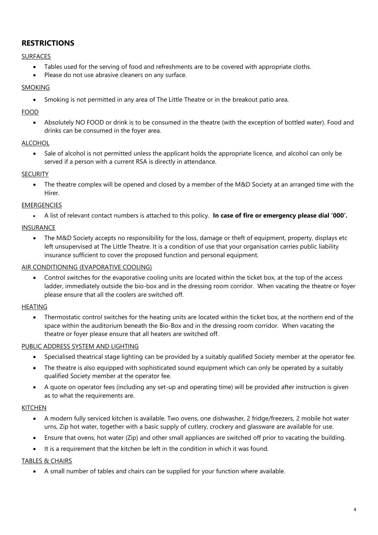# **RESTRICTIONS**

## SURFACES

- Tables used for the serving of food and refreshments are to be covered with appropriate cloths.
- Please do not use abrasive cleaners on any surface.

## SMOKING

• Smoking is not permitted in any area of The Little Theatre or in the breakout patio area.

## FOOD

• Absolutely NO FOOD or drink is to be consumed in the theatre (with the exception of bottled water). Food and drinks can be consumed in the foyer area.

## ALCOHOL

• Sale of alcohol is not permitted unless the applicant holds the appropriate licence, and alcohol can only be served if a person with a current RSA is directly in attendance.

## **SECURITY**

• The theatre complex will be opened and closed by a member of the M&D Society at an arranged time with the Hirer.

## EMERGENCIES

• A list of relevant contact numbers is attached to this policy. **In case of fire or emergency please dial '000'.**

## INSURANCE

• The M&D Society accepts no responsibility for the loss, damage or theft of equipment, property, displays etc left unsupervised at The Little Theatre. It is a condition of use that your organisation carries public liability insurance sufficient to cover the proposed function and personal equipment.

## AIR CONDITIONING (EVAPORATIVE COOLING)

• Control switches for the evaporative cooling units are located within the ticket box, at the top of the access ladder, immediately outside the bio-box and in the dressing room corridor. When vacating the theatre or foyer please ensure that all the coolers are switched off.

## HEATING

• Thermostatic control switches for the heating units are located within the ticket box, at the northern end of the space within the auditorium beneath the Bio-Box and in the dressing room corridor. When vacating the theatre or foyer please ensure that all heaters are switched off.

## PUBLIC ADDRESS SYSTEM AND LIGHTING

- Specialised theatrical stage lighting can be provided by a suitably qualified Society member at the operator fee.
- The theatre is also equipped with sophisticated sound equipment which can only be operated by a suitably qualified Society member at the operator fee.
- A quote on operator fees (including any set-up and operating time) will be provided after instruction is given as to what the requirements are.

## KITCHEN

- A modern fully serviced kitchen is available. Two ovens, one dishwasher, 2 fridge/freezers, 2 mobile hot water urns, Zip hot water, together with a basic supply of cutlery, crockery and glassware are available for use.
- Ensure that ovens, hot water (Zip) and other small appliances are switched off prior to vacating the building.
- It is a requirement that the kitchen be left in the condition in which it was found.

## TABLES & CHAIRS

• A small number of tables and chairs can be supplied for your function where available.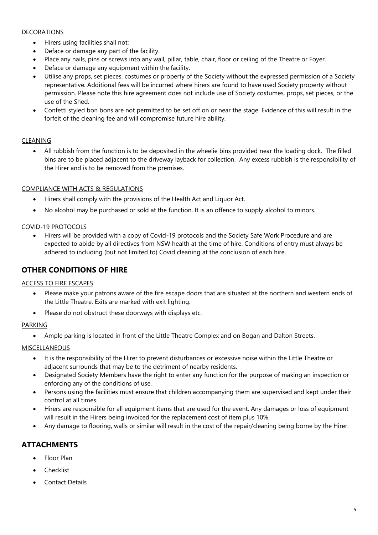## DECORATIONS

- Hirers using facilities shall not:
- Deface or damage any part of the facility.
- Place any nails, pins or screws into any wall, pillar, table, chair, floor or ceiling of the Theatre or Foyer.
- Deface or damage any equipment within the facility.
- Utilise any props, set pieces, costumes or property of the Society without the expressed permission of a Society representative. Additional fees will be incurred where hirers are found to have used Society property without permission. Please note this hire agreement does not include use of Society costumes, props, set pieces, or the use of the Shed.
- Confetti styled bon bons are not permitted to be set off on or near the stage. Evidence of this will result in the forfeit of the cleaning fee and will compromise future hire ability.

## CLEANING

• All rubbish from the function is to be deposited in the wheelie bins provided near the loading dock. The filled bins are to be placed adjacent to the driveway layback for collection. Any excess rubbish is the responsibility of the Hirer and is to be removed from the premises.

## COMPLIANCE WITH ACTS & REGULATIONS

- Hirers shall comply with the provisions of the Health Act and Liquor Act.
- No alcohol may be purchased or sold at the function. It is an offence to supply alcohol to minors.

## COVID-19 PROTOCOLS

• Hirers will be provided with a copy of Covid-19 protocols and the Society Safe Work Procedure and are expected to abide by all directives from NSW health at the time of hire. Conditions of entry must always be adhered to including (but not limited to) Covid cleaning at the conclusion of each hire.

## **OTHER CONDITIONS OF HIRE**

## ACCESS TO FIRE ESCAPES

- Please make your patrons aware of the fire escape doors that are situated at the northern and western ends of the Little Theatre. Exits are marked with exit lighting.
- Please do not obstruct these doorways with displays etc.

## PARKING

• Ample parking is located in front of the Little Theatre Complex and on Bogan and Dalton Streets.

## MISCELLANEOUS

- It is the responsibility of the Hirer to prevent disturbances or excessive noise within the Little Theatre or adjacent surrounds that may be to the detriment of nearby residents.
- Designated Society Members have the right to enter any function for the purpose of making an inspection or enforcing any of the conditions of use.
- Persons using the facilities must ensure that children accompanying them are supervised and kept under their control at all times.
- Hirers are responsible for all equipment items that are used for the event. Any damages or loss of equipment will result in the Hirers being invoiced for the replacement cost of item plus 10%.
- Any damage to flooring, walls or similar will result in the cost of the repair/cleaning being borne by the Hirer.

# **ATTACHMENTS**

- Floor Plan
- **Checklist**
- Contact Details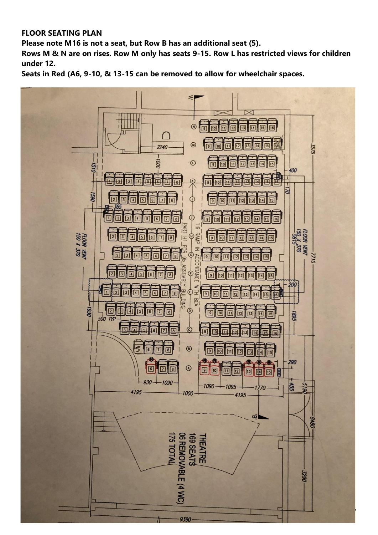# **FLOOR SEATING PLAN**

**Please note M16 is not a seat, but Row B has an additional seat (5).**

**Rows M & N are on rises. Row M only has seats 9-15. Row L has restricted views for children under 12.**

**Seats in Red (A6, 9-10, & 13-15 can be removed to allow for wheelchair spaces.**

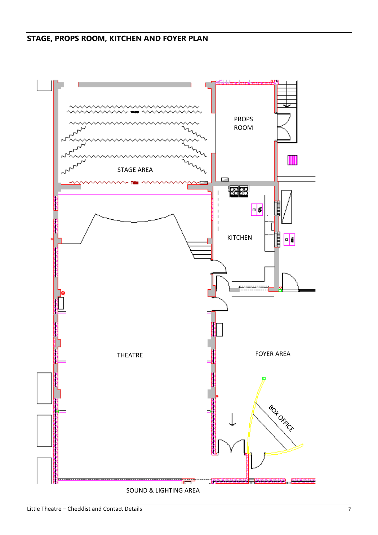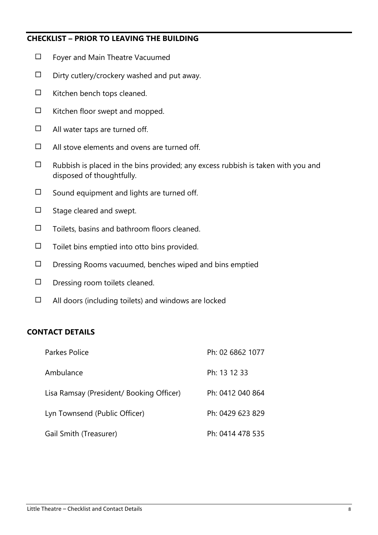# **CHECKLIST – PRIOR TO LEAVING THE BUILDING**

- ☐ Foyer and Main Theatre Vacuumed
- $\Box$  Dirty cutlery/crockery washed and put away.
- $\Box$  Kitchen bench tops cleaned.
- $\Box$  Kitchen floor swept and mopped.
- $\Box$  All water taps are turned off.
- $\Box$  All stove elements and ovens are turned off.
- $\Box$  Rubbish is placed in the bins provided; any excess rubbish is taken with you and disposed of thoughtfully.
- $\Box$  Sound equipment and lights are turned off.
- ☐ Stage cleared and swept.
- $\Box$  Toilets, basins and bathroom floors cleaned.
- $\Box$  Toilet bins emptied into otto bins provided.
- $\Box$  Dressing Rooms vacuumed, benches wiped and bins emptied
- ☐ Dressing room toilets cleaned.
- $\Box$  All doors (including toilets) and windows are locked

# **CONTACT DETAILS**

| Parkes Police                            | Ph: 02 6862 1077 |
|------------------------------------------|------------------|
| Ambulance                                | Ph: 13 12 33     |
| Lisa Ramsay (President/ Booking Officer) | Ph: 0412 040 864 |
| Lyn Townsend (Public Officer)            | Ph: 0429 623 829 |
| Gail Smith (Treasurer)                   | Ph: 0414 478 535 |